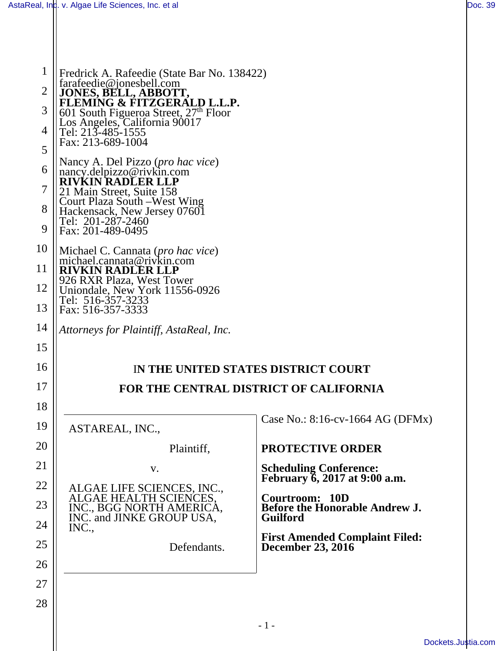1

2

3

4

5

6

7

8

9

10

11

12

13

14

15

16

17

18

19

20

21

22

23

24

25

26

27

28

| Fredrick A. Rafeedie (State Bar No. 138422)<br>farafeedie@jonesbell.com                                 |                                                                |
|---------------------------------------------------------------------------------------------------------|----------------------------------------------------------------|
| JONES, BELL, ABBOTT,<br>FLEMING & FITZGERALD L.L.P.                                                     |                                                                |
|                                                                                                         |                                                                |
| 601 South Figueroa Street, 27 <sup>th</sup> Floor<br>Los Angeles, California 90017<br>Tel: 213-485-1555 |                                                                |
| Fax: 213-689-1004                                                                                       |                                                                |
| Nancy A. Del Pizzo ( <i>pro hac vice</i> )<br>nancy.delpizzo@rivkin.com<br><b>RIVKIN RADLER LLP</b>     |                                                                |
| 21 Main Street, Suite 158                                                                               |                                                                |
| Court Plaza South –West Wing<br>Hackensack, New Jersey 07601                                            |                                                                |
| Tel: 201-287-2460                                                                                       |                                                                |
| Fax: 201-489-0495                                                                                       |                                                                |
| Michael C. Cannata ( <i>pro hac vice</i> )<br>michael.cannata@rivkin.com                                |                                                                |
| <b>RIVKIN RADLER LLP</b><br>926 RXR Plaza, West Tower                                                   |                                                                |
| Uniondale, New York 11556-0926                                                                          |                                                                |
| Tel: 516-357-3233<br>Fax: 516-357-3333                                                                  |                                                                |
|                                                                                                         |                                                                |
| Attorneys for Plaintiff, AstaReal, Inc.                                                                 |                                                                |
|                                                                                                         |                                                                |
|                                                                                                         | IN THE UNITED STATES DISTRICT COURT                            |
|                                                                                                         | FOR THE CENTRAL DISTRICT OF CALIFORNIA                         |
|                                                                                                         |                                                                |
| ASTAREAL, INC.,                                                                                         | Case No.: $8:16$ -cv-1664 AG (DFMx)                            |
| Plaintiff,                                                                                              | PROTECTIVE ORDER                                               |
|                                                                                                         |                                                                |
| V.                                                                                                      | <b>Scheduling Conference:</b><br>February 6, 2017 at 9:00 a.m. |
| ALGAE LIFE SCIENCES, INC.,<br>ALGAE HEALTH SCIENCES,<br>INC., BGG NORTH AMERICA,                        |                                                                |
|                                                                                                         | <b>Courtroom: 10D</b><br><b>Before the Honorable Andrew J.</b> |
| INC. and JINKE GROUP USA,                                                                               | <b>Guilford</b>                                                |
| INC.,                                                                                                   |                                                                |
| Defendants.                                                                                             | <b>First Amended Complaint Filed:</b><br>December 23, 2016     |
|                                                                                                         |                                                                |
|                                                                                                         |                                                                |
|                                                                                                         |                                                                |
|                                                                                                         |                                                                |
|                                                                                                         |                                                                |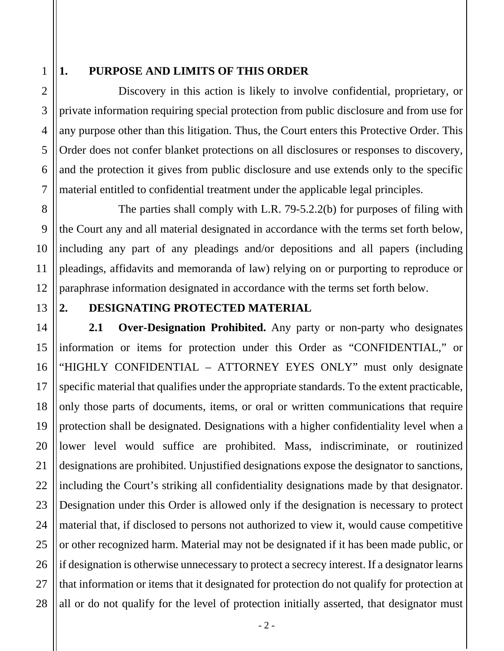## 1

2

3

4

5

6

7

8

9

10

11

12

### **1. PURPOSE AND LIMITS OF THIS ORDER**

Discovery in this action is likely to involve confidential, proprietary, or private information requiring special protection from public disclosure and from use for any purpose other than this litigation. Thus, the Court enters this Protective Order. This Order does not confer blanket protections on all disclosures or responses to discovery, and the protection it gives from public disclosure and use extends only to the specific material entitled to confidential treatment under the applicable legal principles.

The parties shall comply with L.R. 79-5.2.2(b) for purposes of filing with the Court any and all material designated in accordance with the terms set forth below, including any part of any pleadings and/or depositions and all papers (including pleadings, affidavits and memoranda of law) relying on or purporting to reproduce or paraphrase information designated in accordance with the terms set forth below.

#### 13

#### **2. DESIGNATING PROTECTED MATERIAL**

14 15 16 17 18 19 20 21 22 23 24 25 26 27 28 **2.1 Over-Designation Prohibited.** Any party or non-party who designates information or items for protection under this Order as "CONFIDENTIAL," or "HIGHLY CONFIDENTIAL – ATTORNEY EYES ONLY" must only designate specific material that qualifies under the appropriate standards. To the extent practicable, only those parts of documents, items, or oral or written communications that require protection shall be designated. Designations with a higher confidentiality level when a lower level would suffice are prohibited. Mass, indiscriminate, or routinized designations are prohibited. Unjustified designations expose the designator to sanctions, including the Court's striking all confidentiality designations made by that designator. Designation under this Order is allowed only if the designation is necessary to protect material that, if disclosed to persons not authorized to view it, would cause competitive or other recognized harm. Material may not be designated if it has been made public, or if designation is otherwise unnecessary to protect a secrecy interest. If a designator learns that information or items that it designated for protection do not qualify for protection at all or do not qualify for the level of protection initially asserted, that designator must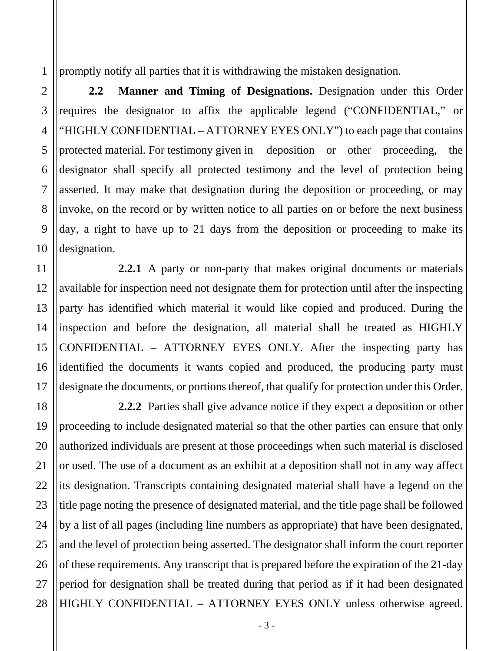1 promptly notify all parties that it is withdrawing the mistaken designation.

**2.2 Manner and Timing of Designations.** Designation under this Order requires the designator to affix the applicable legend ("CONFIDENTIAL," or "HIGHLY CONFIDENTIAL – ATTORNEY EYES ONLY") to each page that contains protected material. For testimony given in deposition or other proceeding, the designator shall specify all protected testimony and the level of protection being asserted. It may make that designation during the deposition or proceeding, or may invoke, on the record or by written notice to all parties on or before the next business day, a right to have up to 21 days from the deposition or proceeding to make its designation.

**2.2.1** A party or non-party that makes original documents or materials available for inspection need not designate them for protection until after the inspecting party has identified which material it would like copied and produced. During the inspection and before the designation, all material shall be treated as HIGHLY CONFIDENTIAL – ATTORNEY EYES ONLY. After the inspecting party has identified the documents it wants copied and produced, the producing party must designate the documents, or portions thereof, that qualify for protection under this Order.

**2.2.2** Parties shall give advance notice if they expect a deposition or other proceeding to include designated material so that the other parties can ensure that only authorized individuals are present at those proceedings when such material is disclosed or used. The use of a document as an exhibit at a deposition shall not in any way affect its designation. Transcripts containing designated material shall have a legend on the title page noting the presence of designated material, and the title page shall be followed by a list of all pages (including line numbers as appropriate) that have been designated, and the level of protection being asserted. The designator shall inform the court reporter of these requirements. Any transcript that is prepared before the expiration of the 21-day period for designation shall be treated during that period as if it had been designated HIGHLY CONFIDENTIAL – ATTORNEY EYES ONLY unless otherwise agreed.

2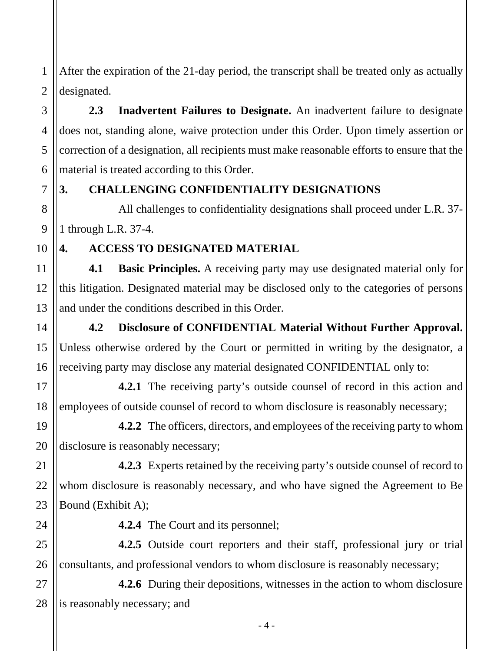1 2 After the expiration of the 21-day period, the transcript shall be treated only as actually designated.

**2.3 Inadvertent Failures to Designate.** An inadvertent failure to designate does not, standing alone, waive protection under this Order. Upon timely assertion or correction of a designation, all recipients must make reasonable efforts to ensure that the material is treated according to this Order.

## **3. CHALLENGING CONFIDENTIALITY DESIGNATIONS**

All challenges to confidentiality designations shall proceed under L.R. 37- 1 through L.R. 37-4.

10

14

15

16

17

18

21

22

23

24

3

4

5

6

7

8

9

## **4. ACCESS TO DESIGNATED MATERIAL**

11 12 13 **4.1 Basic Principles.** A receiving party may use designated material only for this litigation. Designated material may be disclosed only to the categories of persons and under the conditions described in this Order.

**4.2 Disclosure of CONFIDENTIAL Material Without Further Approval.** Unless otherwise ordered by the Court or permitted in writing by the designator, a receiving party may disclose any material designated CONFIDENTIAL only to:

**4.2.1** The receiving party's outside counsel of record in this action and employees of outside counsel of record to whom disclosure is reasonably necessary;

19 20 **4.2.2** The officers, directors, and employees of the receiving party to whom disclosure is reasonably necessary;

**4.2.3** Experts retained by the receiving party's outside counsel of record to whom disclosure is reasonably necessary, and who have signed the Agreement to Be Bound (Exhibit A);

**4.2.4** The Court and its personnel;

25 26 **4.2.5** Outside court reporters and their staff, professional jury or trial consultants, and professional vendors to whom disclosure is reasonably necessary;

27 28 **4.2.6** During their depositions, witnesses in the action to whom disclosure is reasonably necessary; and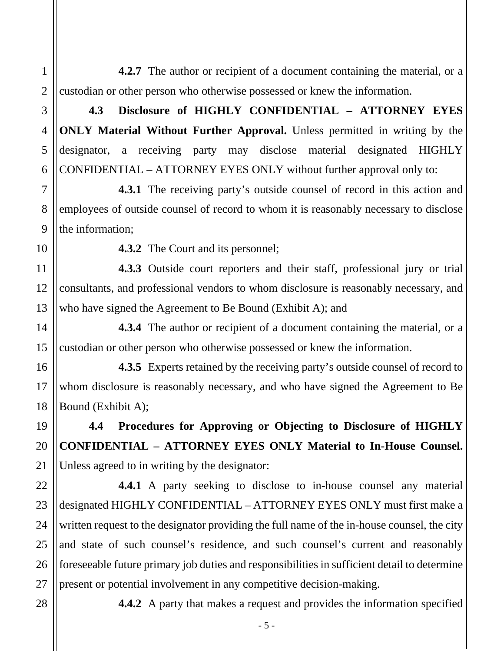2 **4.2.7** The author or recipient of a document containing the material, or a custodian or other person who otherwise possessed or knew the information.

**4.3 Disclosure of HIGHLY CONFIDENTIAL – ATTORNEY EYES ONLY Material Without Further Approval.** Unless permitted in writing by the designator, a receiving party may disclose material designated HIGHLY CONFIDENTIAL – ATTORNEY EYES ONLY without further approval only to:

**4.3.1** The receiving party's outside counsel of record in this action and employees of outside counsel of record to whom it is reasonably necessary to disclose the information;

10

14

15

16

17

18

19

20

21

22

23

24

25

26

27

28

1

3

4

5

6

7

8

9

**4.3.2** The Court and its personnel;

11 12 13 **4.3.3** Outside court reporters and their staff, professional jury or trial consultants, and professional vendors to whom disclosure is reasonably necessary, and who have signed the Agreement to Be Bound (Exhibit A); and

**4.3.4** The author or recipient of a document containing the material, or a custodian or other person who otherwise possessed or knew the information.

**4.3.5** Experts retained by the receiving party's outside counsel of record to whom disclosure is reasonably necessary, and who have signed the Agreement to Be Bound (Exhibit A);

**4.4 Procedures for Approving or Objecting to Disclosure of HIGHLY CONFIDENTIAL – ATTORNEY EYES ONLY Material to In-House Counsel.** Unless agreed to in writing by the designator:

**4.4.1** A party seeking to disclose to in-house counsel any material designated HIGHLY CONFIDENTIAL – ATTORNEY EYES ONLY must first make a written request to the designator providing the full name of the in-house counsel, the city and state of such counsel's residence, and such counsel's current and reasonably foreseeable future primary job duties and responsibilities in sufficient detail to determine present or potential involvement in any competitive decision-making.

- 5 -

**4.4.2** A party that makes a request and provides the information specified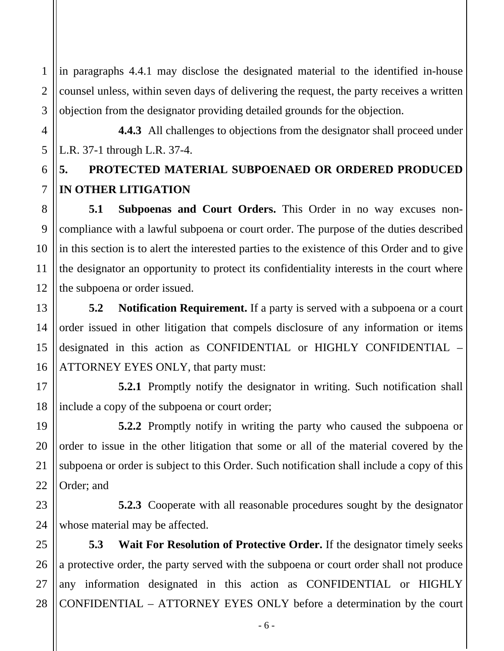1 2 in paragraphs 4.4.1 may disclose the designated material to the identified in-house counsel unless, within seven days of delivering the request, the party receives a written objection from the designator providing detailed grounds for the objection.

**4.4.3** All challenges to objections from the designator shall proceed under L.R. 37-1 through L.R. 37-4.

# **5. PROTECTED MATERIAL SUBPOENAED OR ORDERED PRODUCED IN OTHER LITIGATION**

**5.1 Subpoenas and Court Orders.** This Order in no way excuses noncompliance with a lawful subpoena or court order. The purpose of the duties described in this section is to alert the interested parties to the existence of this Order and to give the designator an opportunity to protect its confidentiality interests in the court where the subpoena or order issued.

**5.2 Notification Requirement.** If a party is served with a subpoena or a court order issued in other litigation that compels disclosure of any information or items designated in this action as CONFIDENTIAL or HIGHLY CONFIDENTIAL – ATTORNEY EYES ONLY, that party must:

**5.2.1** Promptly notify the designator in writing. Such notification shall include a copy of the subpoena or court order;

**5.2.2** Promptly notify in writing the party who caused the subpoena or order to issue in the other litigation that some or all of the material covered by the subpoena or order is subject to this Order. Such notification shall include a copy of this Order; and

**5.2.3** Cooperate with all reasonable procedures sought by the designator whose material may be affected.

**5.3 Wait For Resolution of Protective Order.** If the designator timely seeks a protective order, the party served with the subpoena or court order shall not produce any information designated in this action as CONFIDENTIAL or HIGHLY CONFIDENTIAL – ATTORNEY EYES ONLY before a determination by the court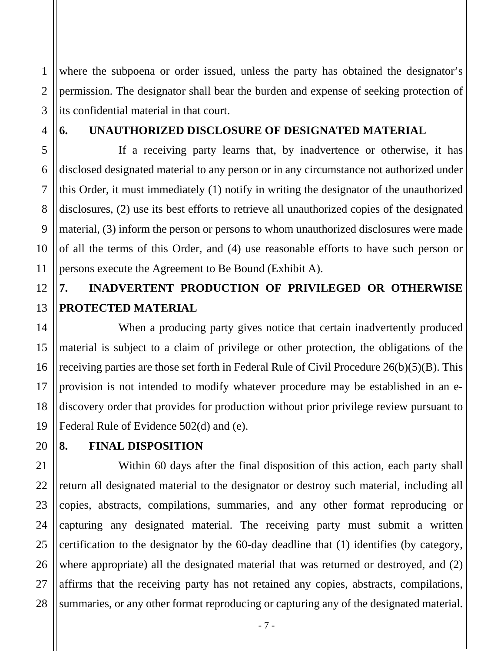1 2 3 where the subpoena or order issued, unless the party has obtained the designator's permission. The designator shall bear the burden and expense of seeking protection of its confidential material in that court.

#### **6. UNAUTHORIZED DISCLOSURE OF DESIGNATED MATERIAL**

If a receiving party learns that, by inadvertence or otherwise, it has disclosed designated material to any person or in any circumstance not authorized under this Order, it must immediately (1) notify in writing the designator of the unauthorized disclosures, (2) use its best efforts to retrieve all unauthorized copies of the designated material, (3) inform the person or persons to whom unauthorized disclosures were made of all the terms of this Order, and (4) use reasonable efforts to have such person or persons execute the Agreement to Be Bound (Exhibit A).

## **7. INADVERTENT PRODUCTION OF PRIVILEGED OR OTHERWISE PROTECTED MATERIAL**

When a producing party gives notice that certain inadvertently produced material is subject to a claim of privilege or other protection, the obligations of the receiving parties are those set forth in Federal Rule of Civil Procedure 26(b)(5)(B). This provision is not intended to modify whatever procedure may be established in an ediscovery order that provides for production without prior privilege review pursuant to Federal Rule of Evidence 502(d) and (e).

#### **8. FINAL DISPOSITION**

Within 60 days after the final disposition of this action, each party shall return all designated material to the designator or destroy such material, including all copies, abstracts, compilations, summaries, and any other format reproducing or capturing any designated material. The receiving party must submit a written certification to the designator by the 60-day deadline that (1) identifies (by category, where appropriate) all the designated material that was returned or destroyed, and (2) affirms that the receiving party has not retained any copies, abstracts, compilations, summaries, or any other format reproducing or capturing any of the designated material.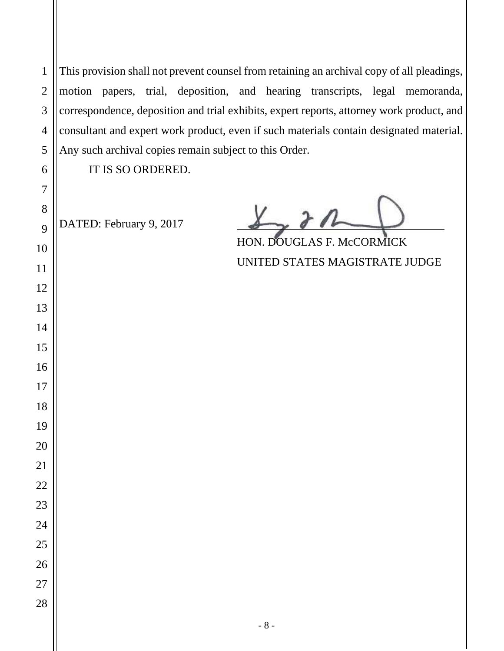This provision shall not prevent counsel from retaining an archival copy of all pleadings, motion papers, trial, deposition, and hearing transcripts, legal memoranda, correspondence, deposition and trial exhibits, expert reports, attorney work product, and consultant and expert work product, even if such materials contain designated material. Any such archival copies remain subject to this Order.

IT IS SO ORDERED.

DATED: February 9, 2017

HON. DOUGLAS F. McCORMICK UNITED STATES MAGISTRATE JUDGE